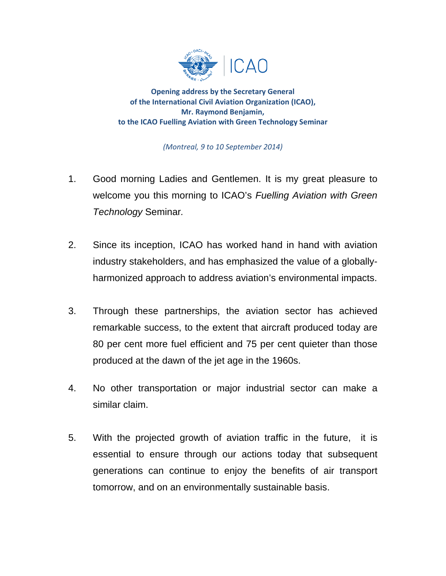

**Opening address by the Secretary General of the International Civil Aviation Organization (ICAO), Mr. Raymond Benjamin, to the ICAO Fuelling Aviation with Green Technology Seminar**

*(Montreal, 9 to 10 September 2014)*

- 1. Good morning Ladies and Gentlemen. It is my great pleasure to welcome you this morning to ICAO's *Fuelling Aviation with Green Technology* Seminar*.*
- 2. Since its inception, ICAO has worked hand in hand with aviation industry stakeholders, and has emphasized the value of a globallyharmonized approach to address aviation's environmental impacts.
- 3. Through these partnerships, the aviation sector has achieved remarkable success, to the extent that aircraft produced today are 80 per cent more fuel efficient and 75 per cent quieter than those produced at the dawn of the jet age in the 1960s.
- 4. No other transportation or major industrial sector can make a similar claim.
- 5. With the projected growth of aviation traffic in the future, it is essential to ensure through our actions today that subsequent generations can continue to enjoy the benefits of air transport tomorrow, and on an environmentally sustainable basis.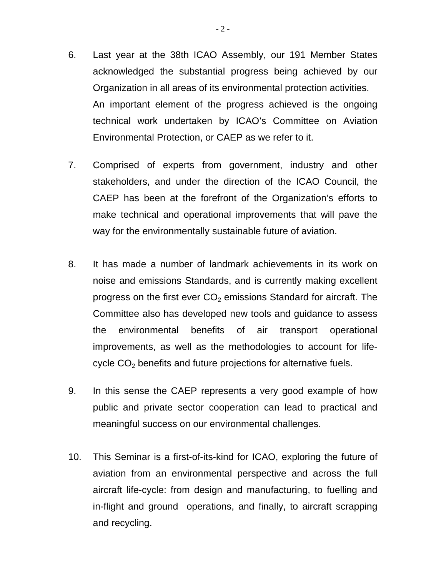- 6. Last year at the 38th ICAO Assembly, our 191 Member States acknowledged the substantial progress being achieved by our Organization in all areas of its environmental protection activities. An important element of the progress achieved is the ongoing technical work undertaken by ICAO's Committee on Aviation Environmental Protection, or CAEP as we refer to it.
- 7. Comprised of experts from government, industry and other stakeholders, and under the direction of the ICAO Council, the CAEP has been at the forefront of the Organization's efforts to make technical and operational improvements that will pave the way for the environmentally sustainable future of aviation.
- 8. It has made a number of landmark achievements in its work on noise and emissions Standards, and is currently making excellent progress on the first ever  $CO<sub>2</sub>$  emissions Standard for aircraft. The Committee also has developed new tools and guidance to assess the environmental benefits of air transport operational improvements, as well as the methodologies to account for lifecycle  $CO<sub>2</sub>$  benefits and future projections for alternative fuels.
- 9. In this sense the CAEP represents a very good example of how public and private sector cooperation can lead to practical and meaningful success on our environmental challenges.
- 10. This Seminar is a first-of-its-kind for ICAO, exploring the future of aviation from an environmental perspective and across the full aircraft life-cycle: from design and manufacturing, to fuelling and in-flight and ground operations, and finally, to aircraft scrapping and recycling.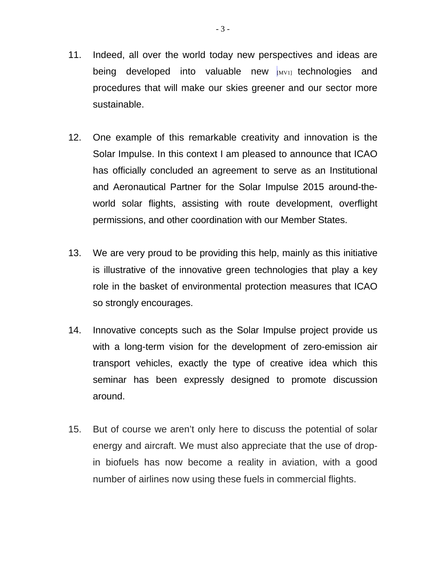- 11. Indeed, all over the world today new perspectives and ideas are being developed into valuable new  $_{\text{[MVI]}}$  technologies and procedures that will make our skies greener and our sector more sustainable.
- 12. One example of this remarkable creativity and innovation is the Solar Impulse. In this context I am pleased to announce that ICAO has officially concluded an agreement to serve as an Institutional and Aeronautical Partner for the Solar Impulse 2015 around-theworld solar flights, assisting with route development, overflight permissions, and other coordination with our Member States.
- 13. We are very proud to be providing this help, mainly as this initiative is illustrative of the innovative green technologies that play a key role in the basket of environmental protection measures that ICAO so strongly encourages.
- 14. Innovative concepts such as the Solar Impulse project provide us with a long-term vision for the development of zero-emission air transport vehicles, exactly the type of creative idea which this seminar has been expressly designed to promote discussion around.
- 15. But of course we aren't only here to discuss the potential of solar energy and aircraft. We must also appreciate that the use of dropin biofuels has now become a reality in aviation, with a good number of airlines now using these fuels in commercial flights.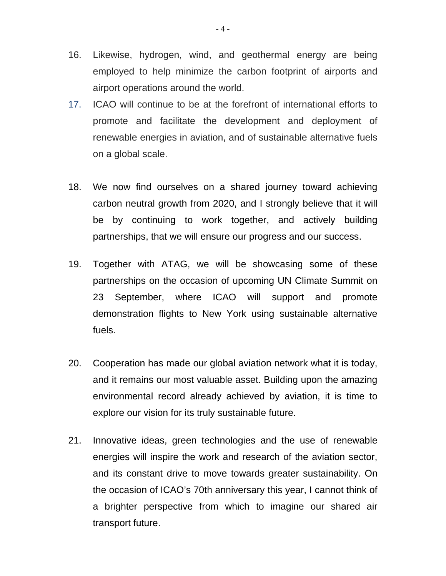- 16. Likewise, hydrogen, wind, and geothermal energy are being employed to help minimize the carbon footprint of airports and airport operations around the world.
- 17. ICAO will continue to be at the forefront of international efforts to promote and facilitate the development and deployment of renewable energies in aviation, and of sustainable alternative fuels on a global scale.
- 18. We now find ourselves on a shared journey toward achieving carbon neutral growth from 2020, and I strongly believe that it will be by continuing to work together, and actively building partnerships, that we will ensure our progress and our success.
- 19. Together with ATAG, we will be showcasing some of these partnerships on the occasion of upcoming UN Climate Summit on 23 September, where ICAO will support and promote demonstration flights to New York using sustainable alternative fuels.
- 20. Cooperation has made our global aviation network what it is today, and it remains our most valuable asset. Building upon the amazing environmental record already achieved by aviation, it is time to explore our vision for its truly sustainable future.
- 21. Innovative ideas, green technologies and the use of renewable energies will inspire the work and research of the aviation sector, and its constant drive to move towards greater sustainability. On the occasion of ICAO's 70th anniversary this year, I cannot think of a brighter perspective from which to imagine our shared air transport future.